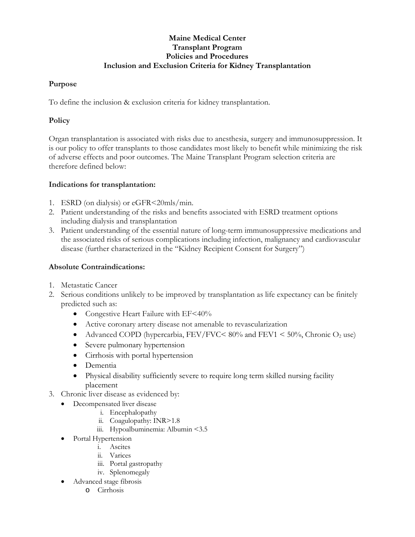# **Maine Medical Center Transplant Program Policies and Procedures Inclusion and Exclusion Criteria for Kidney Transplantation**

### **Purpose**

To define the inclusion & exclusion criteria for kidney transplantation.

## **Policy**

Organ transplantation is associated with risks due to anesthesia, surgery and immunosuppression. It is our policy to offer transplants to those candidates most likely to benefit while minimizing the risk of adverse effects and poor outcomes. The Maine Transplant Program selection criteria are therefore defined below:

### **Indications for transplantation:**

- 1. ESRD (on dialysis) or eGFR<20mls/min.
- 2. Patient understanding of the risks and benefits associated with ESRD treatment options including dialysis and transplantation
- 3. Patient understanding of the essential nature of long-term immunosuppressive medications and the associated risks of serious complications including infection, malignancy and cardiovascular disease (further characterized in the "Kidney Recipient Consent for Surgery")

## **Absolute Contraindications:**

- 1. Metastatic Cancer
- 2. Serious conditions unlikely to be improved by transplantation as life expectancy can be finitely predicted such as:
	- Congestive Heart Failure with EF<40%
	- Active coronary artery disease not amenable to revascularization
	- Advanced COPD (hypercarbia, FEV/FVC <  $80\%$  and FEV1 <  $50\%$ , Chronic  $O_2$  use)
	- Severe pulmonary hypertension
	- Cirrhosis with portal hypertension
	- Dementia
	- Physical disability sufficiently severe to require long term skilled nursing facility placement
- 3. Chronic liver disease as evidenced by:
	- Decompensated liver disease
		- i. Encephalopathy
		- ii. Coagulopathy: INR>1.8
		- iii. Hypoalbuminemia: Albumin <3.5
	- Portal Hypertension
		- i. Ascites
		- ii. Varices
		- iii. Portal gastropathy
		- iv. Splenomegaly
	- Advanced stage fibrosis
		- o Cirrhosis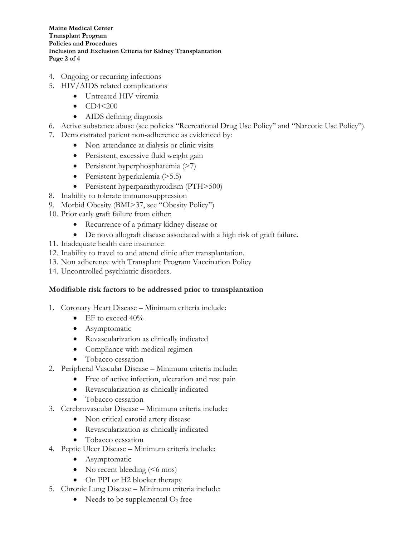**Maine Medical Center Transplant Program Policies and Procedures Inclusion and Exclusion Criteria for Kidney Transplantation Page 2 of 4**

- 4. Ongoing or recurring infections
- 5. HIV/AIDS related complications
	- Untreated HIV viremia
	- $CD4 < 200$
	- AIDS defining diagnosis
- 6. Active substance abuse (see policies "Recreational Drug Use Policy" and "Narcotic Use Policy").
- 7. Demonstrated patient non-adherence as evidenced by:
	- Non-attendance at dialysis or clinic visits
	- Persistent, excessive fluid weight gain
	- Persistent hyperphosphatemia (>7)
	- Persistent hyperkalemia (>5.5)
	- Persistent hyperparathyroidism (PTH>500)
- 8. Inability to tolerate immunosuppression
- 9. Morbid Obesity (BMI>37, see "Obesity Policy")
- 10. Prior early graft failure from either:
	- Recurrence of a primary kidney disease or
	- De novo allograft disease associated with a high risk of graft failure.
- 11. Inadequate health care insurance
- 12. Inability to travel to and attend clinic after transplantation.
- 13. Non adherence with Transplant Program Vaccination Policy
- 14. Uncontrolled psychiatric disorders.

#### **Modifiable risk factors to be addressed prior to transplantation**

- 1. Coronary Heart Disease Minimum criteria include:
	- EF to exceed  $40\%$
	- Asymptomatic
	- Revascularization as clinically indicated
	- Compliance with medical regimen
	- Tobacco cessation
- 2. Peripheral Vascular Disease Minimum criteria include:
	- Free of active infection, ulceration and rest pain
	- Revascularization as clinically indicated
	- Tobacco cessation
- 3. Cerebrovascular Disease Minimum criteria include:
	- Non critical carotid artery disease
	- Revascularization as clinically indicated
	- Tobacco cessation
- 4. Peptic Ulcer Disease Minimum criteria include:
	- Asymptomatic
	- No recent bleeding  $(56 \text{ mos})$
	- On PPI or H2 blocker therapy
- 5. Chronic Lung Disease Minimum criteria include:
	- Needs to be supplemental  $O_2$  free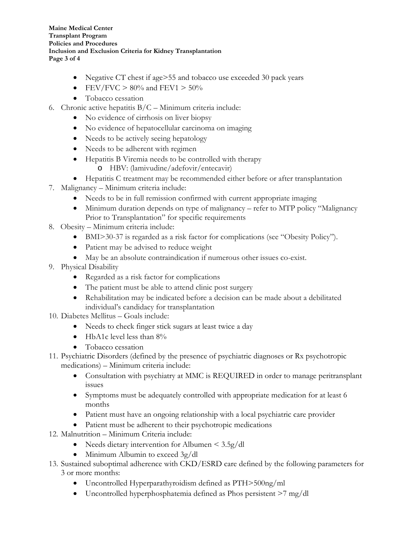**Maine Medical Center Transplant Program Policies and Procedures Inclusion and Exclusion Criteria for Kidney Transplantation Page 3 of 4**

- Negative CT chest if age>55 and tobacco use exceeded 30 pack years
- FEV/FVC  $> 80\%$  and FEV1  $> 50\%$
- Tobacco cessation
- 6. Chronic active hepatitis  $B/C -$ Minimum criteria include:
	- No evidence of cirrhosis on liver biopsy
	- No evidence of hepatocellular carcinoma on imaging
	- Needs to be actively seeing hepatology
	- Needs to be adherent with regimen
	- Hepatitis B Viremia needs to be controlled with therapy
		- o HBV: (lamivudine/adefovir/entecavir)
- Hepatitis C treatment may be recommended either before or after transplantation
- 7. Malignancy Minimum criteria include:
	- Needs to be in full remission confirmed with current appropriate imaging
	- Minimum duration depends on type of malignancy refer to MTP policy "Malignancy" Prior to Transplantation" for specific requirements
- 8. Obesity Minimum criteria include:
	- BMI>30-37 is regarded as a risk factor for complications (see "Obesity Policy").
	- Patient may be advised to reduce weight
	- May be an absolute contraindication if numerous other issues co-exist.
- 9. Physical Disability
	- Regarded as a risk factor for complications
	- The patient must be able to attend clinic post surgery
	- Rehabilitation may be indicated before a decision can be made about a debilitated individual's candidacy for transplantation
- 10. Diabetes Mellitus Goals include:
	- Needs to check finger stick sugars at least twice a day
	- HbA1c level less than  $8\%$
	- Tobacco cessation
- 11. Psychiatric Disorders (defined by the presence of psychiatric diagnoses or Rx psychotropic medications) – Minimum criteria include:
	- Consultation with psychiatry at MMC is REQUIRED in order to manage peritransplant issues
	- Symptoms must be adequately controlled with appropriate medication for at least 6 months
	- Patient must have an ongoing relationship with a local psychiatric care provider
	- Patient must be adherent to their psychotropic medications
- 12. Malnutrition Minimum Criteria include:
	- Needs dietary intervention for Albumen <  $3.5g/dl$
	- Minimum Albumin to exceed 3g/dl
- 13. Sustained suboptimal adherence with CKD/ESRD care defined by the following parameters for 3 or more months:
	- Uncontrolled Hyperparathyroidism defined as PTH>500ng/ml
	- Uncontrolled hyperphosphatemia defined as Phos persistent >7 mg/dl